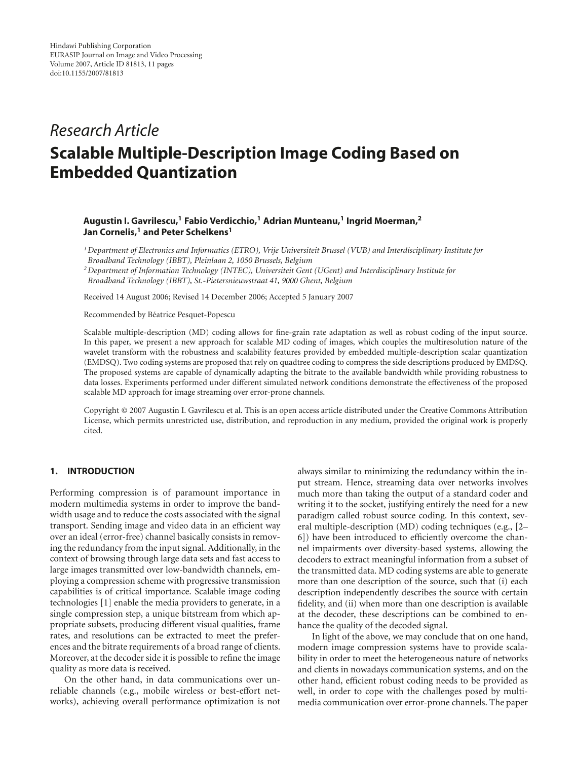# *Research Article*

# **Scalable Multiple-Description Image Coding Based on Embedded Quantization**

# **Augustin I. Gavrilescu,1 Fabio Verdicchio,1 Adrian Munteanu,1 Ingrid Moerman,2 Jan Cornelis,1 and Peter Schelkens1**

*1Department of Electronics and Informatics (ETRO), Vrije Universiteit Brussel (VUB) and Interdisciplinary Institute for Broadband Technology (IBBT), Pleinlaan 2, 1050 Brussels, Belgium*

*2Department of Information Technology (INTEC), Universiteit Gent (UGent) and Interdisciplinary Institute for*

*Broadband Technology (IBBT), St.-Pietersnieuwstraat 41, 9000 Ghent, Belgium*

Received 14 August 2006; Revised 14 December 2006; Accepted 5 January 2007

Recommended by Béatrice Pesquet-Popescu

Scalable multiple-description (MD) coding allows for fine-grain rate adaptation as well as robust coding of the input source. In this paper, we present a new approach for scalable MD coding of images, which couples the multiresolution nature of the wavelet transform with the robustness and scalability features provided by embedded multiple-description scalar quantization (EMDSQ). Two coding systems are proposed that rely on quadtree coding to compress the side descriptions produced by EMDSQ. The proposed systems are capable of dynamically adapting the bitrate to the available bandwidth while providing robustness to data losses. Experiments performed under different simulated network conditions demonstrate the effectiveness of the proposed scalable MD approach for image streaming over error-prone channels.

Copyright © 2007 Augustin I. Gavrilescu et al. This is an open access article distributed under the Creative Commons Attribution License, which permits unrestricted use, distribution, and reproduction in any medium, provided the original work is properly cited.

## **1. INTRODUCTION**

Performing compression is of paramount importance in modern multimedia systems in order to improve the bandwidth usage and to reduce the costs associated with the signal transport. Sending image and video data in an efficient way over an ideal (error-free) channel basically consists in removing the redundancy from the input signal. Additionally, in the context of browsing through large data sets and fast access to large images transmitted over low-bandwidth channels, employing a compression scheme with progressive transmission capabilities is of critical importance. Scalable image coding technologies [\[1\]](#page-9-1) enable the media providers to generate, in a single compression step, a unique bitstream from which appropriate subsets, producing different visual qualities, frame rates, and resolutions can be extracted to meet the preferences and the bitrate requirements of a broad range of clients. Moreover, at the decoder side it is possible to refine the image quality as more data is received.

On the other hand, in data communications over unreliable channels (e.g., mobile wireless or best-effort networks), achieving overall performance optimization is not always similar to minimizing the redundancy within the input stream. Hence, streaming data over networks involves much more than taking the output of a standard coder and writing it to the socket, justifying entirely the need for a new paradigm called robust source coding. In this context, several multiple-description (MD) coding techniques (e.g., [\[2](#page-9-2)– [6\]](#page-9-3)) have been introduced to efficiently overcome the channel impairments over diversity-based systems, allowing the decoders to extract meaningful information from a subset of the transmitted data. MD coding systems are able to generate more than one description of the source, such that (i) each description independently describes the source with certain fidelity, and (ii) when more than one description is available at the decoder, these descriptions can be combined to enhance the quality of the decoded signal.

In light of the above, we may conclude that on one hand, modern image compression systems have to provide scalability in order to meet the heterogeneous nature of networks and clients in nowadays communication systems, and on the other hand, efficient robust coding needs to be provided as well, in order to cope with the challenges posed by multimedia communication over error-prone channels. The paper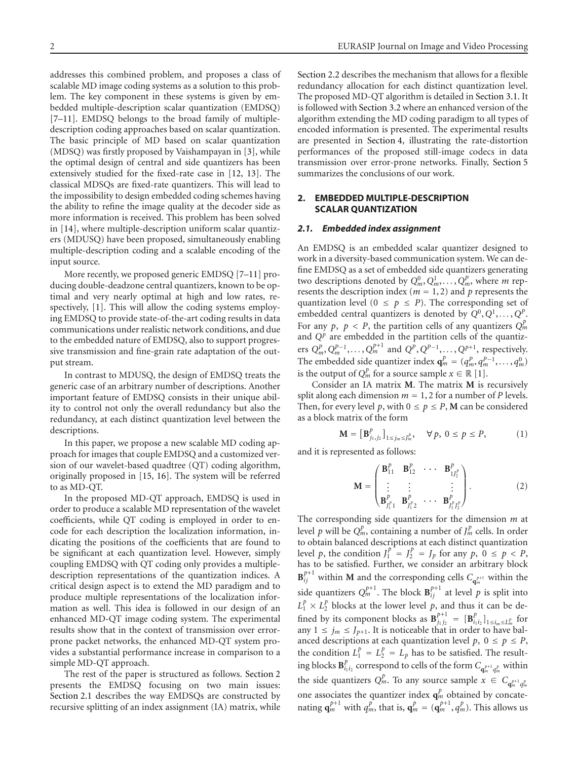addresses this combined problem, and proposes a class of scalable MD image coding systems as a solution to this problem. The key component in these systems is given by embedded multiple-description scalar quantization (EMDSQ) [\[7](#page-9-4)[–11](#page-9-5)]. EMDSQ belongs to the broad family of multipledescription coding approaches based on scalar quantization. The basic principle of MD based on scalar quantization (MDSQ) was firstly proposed by Vaishampayan in [\[3](#page-9-6)], while the optimal design of central and side quantizers has been extensively studied for the fixed-rate case in [\[12](#page-9-7), [13\]](#page-9-8). The classical MDSQs are fixed-rate quantizers. This will lead to the impossibility to design embedded coding schemes having the ability to refine the image quality at the decoder side as more information is received. This problem has been solved in [\[14](#page-9-9)], where multiple-description uniform scalar quantizers (MDUSQ) have been proposed, simultaneously enabling multiple-description coding and a scalable encoding of the input source.

More recently, we proposed generic EMDSQ [\[7](#page-9-4)[–11\]](#page-9-5) producing double-deadzone central quantizers, known to be optimal and very nearly optimal at high and low rates, respectively, [\[1](#page-9-1)]. This will allow the coding systems employing EMDSQ to provide state-of-the-art coding results in data communications under realistic network conditions, and due to the embedded nature of EMDSQ, also to support progressive transmission and fine-grain rate adaptation of the output stream.

In contrast to MDUSQ, the design of EMDSQ treats the generic case of an arbitrary number of descriptions. Another important feature of EMDSQ consists in their unique ability to control not only the overall redundancy but also the redundancy, at each distinct quantization level between the descriptions.

In this paper, we propose a new scalable MD coding approach for images that couple EMDSQ and a customized version of our wavelet-based quadtree (QT) coding algorithm, originally proposed in [\[15,](#page-9-10) [16\]](#page-9-11). The system will be referred to as MD-QT.

In the proposed MD-QT approach, EMDSQ is used in order to produce a scalable MD representation of the wavelet coefficients, while QT coding is employed in order to encode for each description the localization information, indicating the positions of the coefficients that are found to be significant at each quantization level. However, simply coupling EMDSQ with QT coding only provides a multipledescription representations of the quantization indices. A critical design aspect is to extend the MD paradigm and to produce multiple representations of the localization information as well. This idea is followed in our design of an enhanced MD-QT image coding system. The experimental results show that in the context of transmission over errorprone packet networks, the enhanced MD-QT system provides a substantial performance increase in comparison to a simple MD-QT approach.

The rest of the paper is structured as follows. [Section 2](#page-1-0) presents the EMDSQ focusing on two main issues: [Section 2.1](#page-1-1) describes the way EMDSQs are constructed by recursive splitting of an index assignment (IA) matrix, while

[Section 2.2](#page-2-0) describes the mechanism that allows for a flexible redundancy allocation for each distinct quantization level. The proposed MD-QT algorithm is detailed in [Section 3.1.](#page-3-0) It is followed with [Section 3.2](#page-4-0) where an enhanced version of the algorithm extending the MD coding paradigm to all types of encoded information is presented. The experimental results are presented in [Section 4,](#page-6-0) illustrating the rate-distortion performances of the proposed still-image codecs in data transmission over error-prone networks. Finally, [Section 5](#page-8-0) summarizes the conclusions of our work.

# <span id="page-1-0"></span>**2. EMBEDDED MULTIPLE-DESCRIPTION SCALAR QUANTIZATION**

#### <span id="page-1-1"></span>*2.1. Embedded index assignment*

An EMDSQ is an embedded scalar quantizer designed to work in a diversity-based communication system. We can define EMDSQ as a set of embedded side quantizers generating two descriptions denoted by  $Q_m^0, Q_m^1, \ldots, Q_m^P$ , where *m* represents the description index ( $m = 1, 2$ ) and  $p$  represents the quantization level ( $0 \leq p \leq P$ ). The corresponding set of embedded central quantizers is denoted by  $Q^0, Q^1, \ldots, Q^P$ . For any  $p$ ,  $p < P$ , the partition cells of any quantizers  $Q_m^p$ and *Q<sup>p</sup>* are embedded in the partition cells of the quantizers  $Q_m^P, Q_m^{P-1}, \ldots, Q_m^{P+1}$  and  $Q_P^P, Q_{-1}^{P-1}, \ldots, Q_{+1}^{P+1}$ , respectively. The embedded side quantizer index  $\mathbf{q}_m^p = (q_m^p, q_m^{p-1}, \dots, q_m^0)$ is the output of  $Q_m^p$  for a source sample  $x \in \mathbb{R} [1]$  $x \in \mathbb{R} [1]$ .

Consider an IA matrix **M**. The matrix **M** is recursively split along each dimension  $m = 1, 2$  for a number of *P* levels. Then, for every level p, with  $0 \le p \le P$ , **M** can be considered as a block matrix of the form

$$
\mathbf{M} = [\mathbf{B}_{j_1,j_2}^p]_{1 \le j_m \le J_m^p}, \quad \forall p, \ 0 \le p \le P,
$$
 (1)

and it is represented as follows:

$$
\mathbf{M} = \begin{pmatrix} \mathbf{B}_{11}^{p} & \mathbf{B}_{12}^{p} & \cdots & \mathbf{B}_{1J_{2}^{p}}^{p} \\ \vdots & \vdots & & \vdots \\ \mathbf{B}_{J_{1}^{p}}^{p} & \mathbf{B}_{J_{1}^{p}}^{p} & \cdots & \mathbf{B}_{J_{1}^{p}}^{p} \end{pmatrix} .
$$
 (2)

The corresponding side quantizers for the dimension *m* at level *p* will be  $Q_m^p$ , containing a number of  $J_m^p$  cells. In order to obtain balanced descriptions at each distinct quantization level *p*, the condition  $J_1^p = J_2^p = J_p$  for any  $p$ ,  $0 \le p \le P$ , has to be satisfied. Further, we consider an arbitrary block  $\mathbf{B}_{ij}^{p+1}$  within **M** and the corresponding cells  $C_{\mathbf{q}_{m}^{p+1}}$  within the side quantizers  $Q_m^{p+1}$ . The block  $\mathbf{B}_{ij}^{p+1}$  at level p is split into  $L_1^p \times L_2^p$  blocks at the lower level *p*, and thus it can be defined by its component blocks as  $\mathbf{B}_{j_1j_2}^{p+1} = [\mathbf{B}_{i_1i_2}^p]_{1\leq i_m \leq L_m^p}$  for any  $1 \le j_m \le J_{p+1}$ . It is noticeable that in order to have balanced descriptions at each quantization level  $p$ ,  $0 \le p \le P$ , the condition  $L_1^p = L_2^p = L_p$  has to be satisfied. The resulting blocks  $\mathbf{B}_{i_1i_2}^p$  correspond to cells of the form  $C_{\mathbf{q}_m^{p+1}q_m^p}$  within the side quantizers  $Q_m^p$ . To any source sample  $x \in C_{\mathbf{q}_m^{p+1} q_m^p}$ one associates the quantizer index  $\mathbf{q}_m^p$  obtained by concatenating  $\mathbf{q}_m^{p+1}$  with  $q_m^p$ , that is,  $\mathbf{q}_m^p = (\mathbf{q}_m^{p+1}, q_m^p)$ . This allows us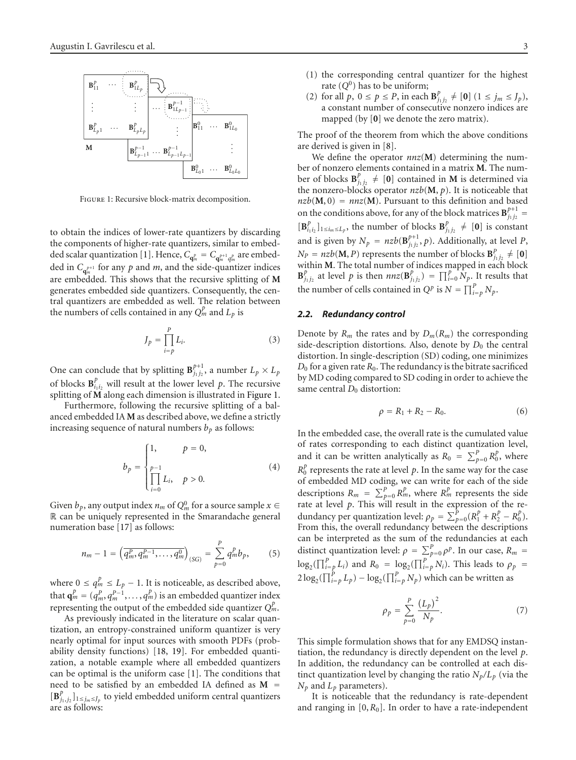

Figure 1: Recursive block-matrix decomposition.

<span id="page-2-1"></span>to obtain the indices of lower-rate quantizers by discarding the components of higher-rate quantizers, similar to embed-ded scalar quantization [\[1](#page-9-1)]. Hence,  $C_{\mathbf{q}_m^p} = C_{\mathbf{q}_m^{p+1}q_m^p}$  are embedded in  $C_{\mathbf{q}_m^{p+1}}$  for any p and m, and the side-quantizer indices are embedded. This shows that the recursive splitting of **M** generates embedded side quantizers. Consequently, the central quantizers are embedded as well. The relation between the numbers of cells contained in any  $Q_m^p$  and  $L_p$  is

$$
J_p = \prod_{i=p}^{p} L_i.
$$
 (3)

One can conclude that by splitting  $\mathbf{B}_{j_1j_2}^{p+1}$ , a number  $L_p \times L_p$ of blocks  $\mathbf{B}_{i_1i_2}^p$  will result at the lower level *p*. The recursive splitting of **M** along each dimension is illustrated in [Figure 1.](#page-2-1)

Furthermore, following the recursive splitting of a balanced embedded IA **M** as described above, we define a strictly increasing sequence of natural numbers  $b_p$  as follows:

$$
b_p = \begin{cases} 1, & p = 0, \\ p_{p-1} & \\ \prod_{i=0}^{p-1} L_i, & p > 0. \end{cases}
$$
 (4)

Given  $b_p$ , any output index  $n_m$  of  $Q_m^0$  for a source sample  $x \in$ R can be uniquely represented in the Smarandache general numeration base [\[17\]](#page-9-12) as follows:

$$
n_m - 1 = \left(\overline{q_m^P, q_m^{P-1}, \dots, q_m^0}\right)_{(SG)} = \sum_{p=0}^P q_m^P b_p, \qquad (5)
$$

where  $0 \le q_m^p \le L_p - 1$ . It is noticeable, as described above, that  $\mathbf{q}_m^p = (q_m^p, q_m^{p-1}, \dots, q_m^p)$  is an embedded quantizer index representing the output of the embedded side quantizer  $Q_m^p$ .

As previously indicated in the literature on scalar quantization, an entropy-constrained uniform quantizer is very nearly optimal for input sources with smooth PDFs (probability density functions) [\[18,](#page-9-13) [19\]](#page-9-14). For embedded quantization, a notable example where all embedded quantizers can be optimal is the uniform case [\[1\]](#page-9-1). The conditions that need to be satisfied by an embedded IA defined as  $M =$  $[\mathbf{B}_{j_1,j_2}^p]_{1\leq j_m\leq J_p}$  to yield embedded uniform central quantizers are as follows:

- (1) the corresponding central quantizer for the highest rate  $(Q<sup>0</sup>)$  has to be uniform;
- (2) for all  $p$ ,  $0 \le p \le P$ , in each  $\mathbf{B}_{j_1 j_2}^p \neq [0]$   $(1 \le j_m \le J_p)$ , a constant number of consecutive nonzero indices are mapped (by [**0**] we denote the zero matrix).

The proof of the theorem from which the above conditions are derived is given in [\[8](#page-9-15)].

We define the operator *nnz*(**M**) determining the number of nonzero elements contained in a matrix **M**. The number of blocks  $\mathbf{B}_{j_1 j_2}^p \neq [\mathbf{0}]$  contained in **M** is determined via the nonzero-blocks operator  $nzb(M, p)$ . It is noticeable that  $nzb(M, 0) = nnz(M)$ . Pursuant to this definition and based on the conditions above, for any of the block matrices  $\mathbf{B}_{j_1 j_2}^{p+1}$  $[\mathbf{B}_{i_1i_2}^p]_{1\leq i_m\leq L_p}$ , the number of blocks  $\mathbf{B}_{j_1j_2}^p \neq [\mathbf{0}]$  is constant and is given by  $N_p = nzb(\mathbf{B}_{j_1j_2}^{p+1}, p)$ . Additionally, at level *P*,  $N_P = nzb(M, P)$  represents the number of blocks  $\mathbf{B}_{j_1 j_2}^P \neq [0]$ within **M**. The total number of indices mapped in each block  $\mathbf{B}_{j_1j_2}^p$  at level *p* is then  $nnz(\mathbf{B}_{j_1j_2}^p) = \prod_{i=0}^p N_p$ . It results that the number of cells contained in  $Q^p$  is  $N = \prod_{i=p}^p N_p$ .

## <span id="page-2-0"></span>*2.2. Redundancy control*

Denote by  $R_m$  the rates and by  $D_m(R_m)$  the corresponding side-description distortions. Also, denote by  $D_0$  the central distortion. In single-description (SD) coding, one minimizes  $D_0$  for a given rate  $R_0$ . The redundancy is the bitrate sacrificed by MD coding compared to SD coding in order to achieve the same central  $D_0$  distortion:

$$
\rho = R_1 + R_2 - R_0. \tag{6}
$$

In the embedded case, the overall rate is the cumulated value of rates corresponding to each distinct quantization level, and it can be written analytically as  $R_0 = \sum_{p=0}^{p} R_0^p$ , where  $R_0^p$  represents the rate at level *p*. In the same way for the case of embedded MD coding, we can write for each of the side descriptions  $R_m = \sum_{p=0}^{P} R_m^p$ , where  $R_m^p$  represents the side rate at level *p*. This will result in the expression of the redundancy per quantization level:  $\rho_p = \sum_{p=0}^{p} (R_1^p + R_2^p - R_0^p)$ . From this, the overall redundancy between the descriptions can be interpreted as the sum of the redundancies at each distinct quantization level:  $\rho = \sum_{p=0}^{P} \rho^p$ . In our case,  $R_m$  $\log_2(\prod_{i=p}^p L_i)$  and  $R_0 = \log_2(\prod_{i=p}^p N_i)$ . This leads to  $\rho_p =$  $2\log_2(\prod_{i=p}^p L_p) - \log_2(\prod_{i=p}^p N_p)$  which can be written as

$$
\rho_p = \sum_{p=0}^{P} \frac{(L_p)^2}{N_p}.
$$
\n(7)

This simple formulation shows that for any EMDSQ instantiation, the redundancy is directly dependent on the level *p*. In addition, the redundancy can be controlled at each distinct quantization level by changing the ratio  $N_p/L_p$  (via the  $N_p$  and  $L_p$  parameters).

It is noticeable that the redundancy is rate-dependent and ranging in [0, *R*0]. In order to have a rate-independent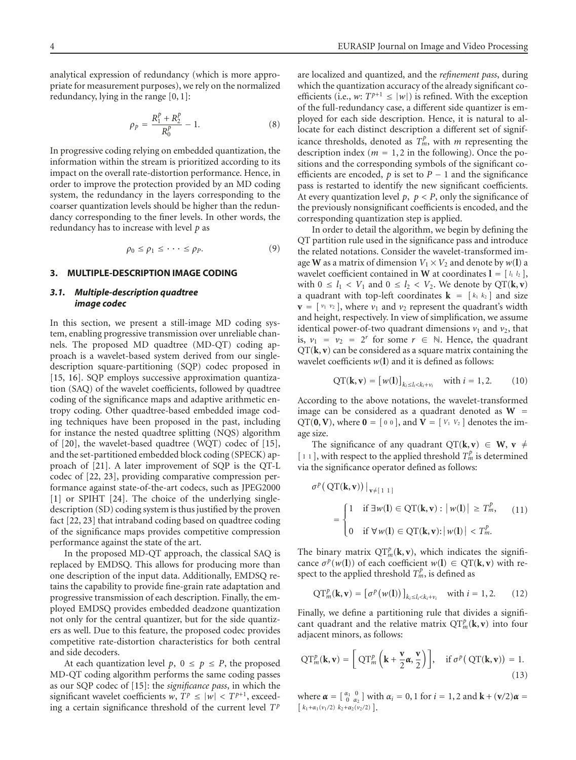analytical expression of redundancy (which is more appropriate for measurement purposes), we rely on the normalized redundancy, lying in the range  $[0, 1]$ :

$$
\rho_p = \frac{R_1^p + R_2^p}{R_0^p} - 1.
$$
\n(8)

In progressive coding relying on embedded quantization, the information within the stream is prioritized according to its impact on the overall rate-distortion performance. Hence, in order to improve the protection provided by an MD coding system, the redundancy in the layers corresponding to the coarser quantization levels should be higher than the redundancy corresponding to the finer levels. In other words, the redundancy has to increase with level *p* as

<span id="page-3-3"></span>
$$
\rho_0 \leq \rho_1 \leq \cdots \leq \rho_P. \tag{9}
$$

#### <span id="page-3-0"></span>**3. MULTIPLE-DESCRIPTION IMAGE CODING**

# *3.1. Multiple-description quadtree image codec*

In this section, we present a still-image MD coding system, enabling progressive transmission over unreliable channels. The proposed MD quadtree (MD-QT) coding approach is a wavelet-based system derived from our singledescription square-partitioning (SQP) codec proposed in [\[15](#page-9-10), [16\]](#page-9-11). SQP employs successive approximation quantization (SAQ) of the wavelet coefficients, followed by quadtree coding of the significance maps and adaptive arithmetic entropy coding. Other quadtree-based embedded image coding techniques have been proposed in the past, including for instance the nested quadtree splitting (NQS) algorithm of [\[20](#page-9-16)], the wavelet-based quadtree (WQT) codec of [\[15](#page-9-10)], and the set-partitioned embedded block coding (SPECK) approach of [\[21](#page-9-17)]. A later improvement of SQP is the QT-L codec of [\[22,](#page-10-0) [23\]](#page-10-1), providing comparative compression performance against state-of-the-art codecs, such as JPEG2000 [\[1\]](#page-9-1) or SPIHT [\[24](#page-10-2)]. The choice of the underlying singledescription (SD) coding system is thus justified by the proven fact [\[22](#page-10-0), [23](#page-10-1)] that intraband coding based on quadtree coding of the significance maps provides competitive compression performance against the state of the art.

In the proposed MD-QT approach, the classical SAQ is replaced by EMDSQ. This allows for producing more than one description of the input data. Additionally, EMDSQ retains the capability to provide fine-grain rate adaptation and progressive transmission of each description. Finally, the employed EMDSQ provides embedded deadzone quantization not only for the central quantizer, but for the side quantizers as well. Due to this feature, the proposed codec provides competitive rate-distortion characteristics for both central and side decoders.

At each quantization level  $p$ ,  $0 \le p \le P$ , the proposed MD-QT coding algorithm performs the same coding passes as our SQP codec of [\[15\]](#page-9-10): the *significance pass*, in which the significant wavelet coefficients *w*,  $T^p \le |w| < T^{p+1}$ , exceeding a certain significance threshold of the current level *Tp*

are localized and quantized, and the *refinement pass*, during which the quantization accuracy of the already significant coefficients (i.e., *w*:  $T^{p+1} \le |w|$ ) is refined. With the exception of the full-redundancy case, a different side quantizer is employed for each side description. Hence, it is natural to allocate for each distinct description a different set of significance thresholds, denoted as  $T_m^p$ , with *m* representing the description index ( $m = 1, 2$  in the following). Once the positions and the corresponding symbols of the significant coefficients are encoded,  $p$  is set to  $P - 1$  and the significance pass is restarted to identify the new significant coefficients. At every quantization level  $p$ ,  $p < P$ , only the significance of the previously nonsignificant coefficients is encoded, and the corresponding quantization step is applied.

In order to detail the algorithm, we begin by defining the QT partition rule used in the significance pass and introduce the related notations. Consider the wavelet-transformed image **W** as a matrix of dimension  $V_1 \times V_2$  and denote by  $w(1)$  a wavelet coefficient contained in **W** at coordinates  $\mathbf{l} = [l_1 l_2]$ , with  $0 \le l_1 < V_1$  and  $0 \le l_2 < V_2$ . We denote by  $QT(\mathbf{k}, \mathbf{v})$ a quadrant with top-left coordinates  $\mathbf{k} = [k_1, k_2]$  and size  $\mathbf{v} = [\nu_1 \nu_2]$ , where  $\nu_1$  and  $\nu_2$  represent the quadrant's width and height, respectively. In view of simplification, we assume identical power-of-two quadrant dimensions  $v_1$  and  $v_2$ , that is,  $v_1 = v_2 = 2^r$  for some  $r \in \mathbb{N}$ . Hence, the quadrant  $QT(k, v)$  can be considered as a square matrix containing the wavelet coefficients *w*(**l**) and it is defined as follows:

$$
\text{QT}(\mathbf{k}, \mathbf{v}) = \left[w(1)\right]_{k_i \le l_i < k_i + v_i} \quad \text{with } i = 1, 2. \tag{10}
$$

According to the above notations, the wavelet-transformed image can be considered as a quadrant denoted as  $W =$  $QT(0, V)$ , where  $0 = [0 0]$ , and  $V = [V_1 V_2]$  denotes the image size.

The significance of any quadrant  $QT(k, v) \in W$ ,  $v \neq$  $[1 1]$ , with respect to the applied threshold  $T_m^p$  is determined via the significance operator defined as follows:

<span id="page-3-1"></span>
$$
\sigma^{p} \left( \operatorname{QT}(\mathbf{k}, \mathbf{v}) \right) \big|_{\mathbf{v} \neq [1\ 1]} \n= \begin{cases}\n1 & \text{if } \exists w(1) \in \operatorname{QT}(\mathbf{k}, \mathbf{v}) : |w(1)| \ge T_m^p, \\
0 & \text{if } \forall w(1) \in \operatorname{QT}(\mathbf{k}, \mathbf{v}) : |w(1)| < T_m^p.\n\end{cases} \tag{11}
$$

The binary matrix  $QT_m^p(\mathbf{k}, \mathbf{v})$ , which indicates the significance  $\sigma^p(w(1))$  of each coefficient  $w(1) \in \mathrm{QT}(\mathbf{k}, \mathbf{v})$  with respect to the applied threshold  $T_m^p$ , is defined as

$$
\mathrm{QT}_{m}^{p}(\mathbf{k},\mathbf{v}) = \left[\sigma^{p}\left(w(1)\right)\right]_{k_{i} \leq l_{i} < k_{i} + v_{i}} \quad \text{with } i = 1, 2. \tag{12}
$$

Finally, we define a partitioning rule that divides a significant quadrant and the relative matrix  $QT_m^p(\mathbf{k}, \mathbf{v})$  into four adjacent minors, as follows:

<span id="page-3-2"></span>
$$
\mathrm{QT}_{m}^{p}(\mathbf{k}, \mathbf{v}) = \left[ \mathrm{QT}_{m}^{p} \left( \mathbf{k} + \frac{\mathbf{v}}{2} \boldsymbol{\alpha}, \frac{\mathbf{v}}{2} \right) \right], \quad \text{if } \sigma^{p} \left( \mathrm{QT}(\mathbf{k}, \mathbf{v}) \right) = 1. \tag{13}
$$

where  $\alpha = \begin{bmatrix} \alpha_1 & 0 \\ 0 & \alpha_2 \end{bmatrix}$  with  $\alpha_i = 0, 1$  for  $i = 1, 2$  and  $\mathbf{k} + (\mathbf{v}/2)\alpha =$  $\left[ k_1 + \alpha_1(\nu_1/2) \ k_2 + \alpha_2(\nu_2/2) \right]$ .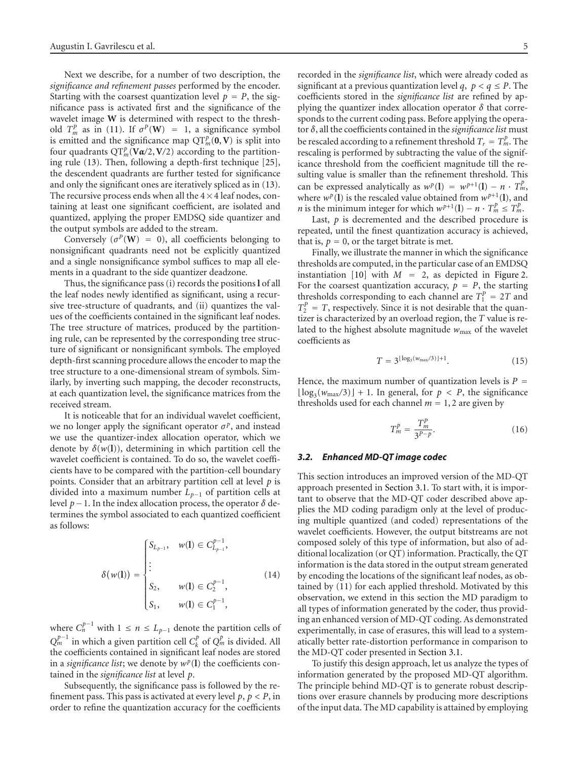Next we describe, for a number of two description, the *significance and refinement passes* performed by the encoder. Starting with the coarsest quantization level  $p = P$ , the significance pass is activated first and the significance of the wavelet image **W** is determined with respect to the threshold  $T_m^P$  as in [\(11\)](#page-3-1). If  $\sigma^P(\mathbf{W}) = 1$ , a significance symbol is emitted and the significance map  $QT_m^p(0, V)$  is split into four quadrants  $QT_m^p(\mathbf{V}\alpha/2,\mathbf{V}/2)$  according to the partitioning rule [\(13\)](#page-3-2). Then, following a depth-first technique [\[25](#page-10-3)], the descendent quadrants are further tested for significance and only the significant ones are iteratively spliced as in [\(13\)](#page-3-2). The recursive process ends when all the  $4 \times 4$  leaf nodes, containing at least one significant coefficient, are isolated and quantized, applying the proper EMDSQ side quantizer and the output symbols are added to the stream.

Conversely  $(\sigma^P(W) = 0)$ , all coefficients belonging to nonsignificant quadrants need not be explicitly quantized and a single nonsignificance symbol suffices to map all elements in a quadrant to the side quantizer deadzone.

Thus, the significance pass (i) records the positions **l** of all the leaf nodes newly identified as significant, using a recursive tree-structure of quadrants, and (ii) quantizes the values of the coefficients contained in the significant leaf nodes. The tree structure of matrices, produced by the partitioning rule, can be represented by the corresponding tree structure of significant or nonsignificant symbols. The employed depth-first scanning procedure allows the encoder to map the tree structure to a one-dimensional stream of symbols. Similarly, by inverting such mapping, the decoder reconstructs, at each quantization level, the significance matrices from the received stream.

It is noticeable that for an individual wavelet coefficient, we no longer apply the significant operator  $\sigma$ <sup>*p*</sup>, and instead we use the quantizer-index allocation operator, which we denote by  $\delta(w(1))$ , determining in which partition cell the wavelet coefficient is contained. To do so, the wavelet coefficients have to be compared with the partition-cell boundary points. Consider that an arbitrary partition cell at level *p* is divided into a maximum number *Lp*−<sup>1</sup> of partition cells at level *<sup>p</sup>*−1. In the index allocation process, the operator *<sup>δ</sup>* determines the symbol associated to each quantized coefficient as follows:

$$
\delta(w(1)) = \begin{cases} S_{L_{p-1}}, & w(1) \in C_{L_{p-1}}^{p-1}, \\ \vdots \\ S_2, & w(1) \in C_2^{p-1}, \\ S_1, & w(1) \in C_1^{p-1}, \end{cases}
$$
(14)

where  $C_n^{p-1}$  with 1 ≤ *n* ≤  $L_{p-1}$  denote the partition cells of  $Q_m^{p-1}$  in which a given partition cell  $C_k^p$  of  $Q_m^p$  is divided. All the coefficients contained in significant leaf nodes are stored in a *significance list*; we denote by *wp*(**l**) the coefficients contained in the *significance list* at level *p*.

Subsequently, the significance pass is followed by the refinement pass. This pass is activated at every level  $p, p < P$ , in order to refine the quantization accuracy for the coefficients recorded in the *significance list*, which were already coded as significant at a previous quantization level  $q$ ,  $p < q \leq P$ . The coefficients stored in the *significance list* are refined by applying the quantizer index allocation operator *δ* that corresponds to the current coding pass. Before applying the operator *δ*, all the coefficients contained in the *significance list* must be rescaled according to a refinement threshold  $T_r = T_m^p$ . The rescaling is performed by subtracting the value of the significance threshold from the coefficient magnitude till the resulting value is smaller than the refinement threshold. This can be expressed analytically as  $w^p(1) = w^{p+1}(1) - n \cdot T_m^p$ , where  $w^p(1)$  is the rescaled value obtained from  $w^{p+1}(1)$ , and *n* is the minimum integer for which  $w^{p+1}(1) - n \cdot T_m^p \le T_m^p$ .

Last, *p* is decremented and the described procedure is repeated, until the finest quantization accuracy is achieved, that is,  $p = 0$ , or the target bitrate is met.

Finally, we illustrate the manner in which the significance thresholds are computed, in the particular case of an EMDSQ instantiation [\[10\]](#page-9-18) with  $M = 2$ , as depicted in [Figure 2.](#page-5-0) For the coarsest quantization accuracy,  $p = P$ , the starting thresholds corresponding to each channel are  $T_1^P = 2T$  and  $T_2^P = T$ , respectively. Since it is not desirable that the quantizer is characterized by an overload region, the *T* value is related to the highest absolute magnitude  $w_{\text{max}}$  of the wavelet coefficients as

$$
T = 3^{\lfloor \log_3(w_{\max}/3) \rfloor + 1}.
$$
 (15)

Hence, the maximum number of quantization levels is  $P =$  $\lfloor \log_3(w_{\text{max}}/3) \rfloor + 1$ . In general, for  $p < P$ , the significance thresholds used for each channel  $m = 1, 2$  are given by

<span id="page-4-1"></span>
$$
T_m^p = \frac{T_m^p}{3^{p-p}}.\tag{16}
$$

#### <span id="page-4-0"></span>*3.2. Enhanced MD-QT image codec*

This section introduces an improved version of the MD-QT approach presented in [Section 3.1.](#page-3-0) To start with, it is important to observe that the MD-QT coder described above applies the MD coding paradigm only at the level of producing multiple quantized (and coded) representations of the wavelet coefficients. However, the output bitstreams are not composed solely of this type of information, but also of additional localization (or QT) information. Practically, the QT information is the data stored in the output stream generated by encoding the locations of the significant leaf nodes, as obtained by [\(11\)](#page-3-1) for each applied threshold. Motivated by this observation, we extend in this section the MD paradigm to all types of information generated by the coder, thus providing an enhanced version of MD-QT coding. As demonstrated experimentally, in case of erasures, this will lead to a systematically better rate-distortion performance in comparison to the MD-QT coder presented in [Section 3.1.](#page-3-0)

To justify this design approach, let us analyze the types of information generated by the proposed MD-QT algorithm. The principle behind MD-QT is to generate robust descriptions over erasure channels by producing more descriptions of the input data. The MD capability is attained by employing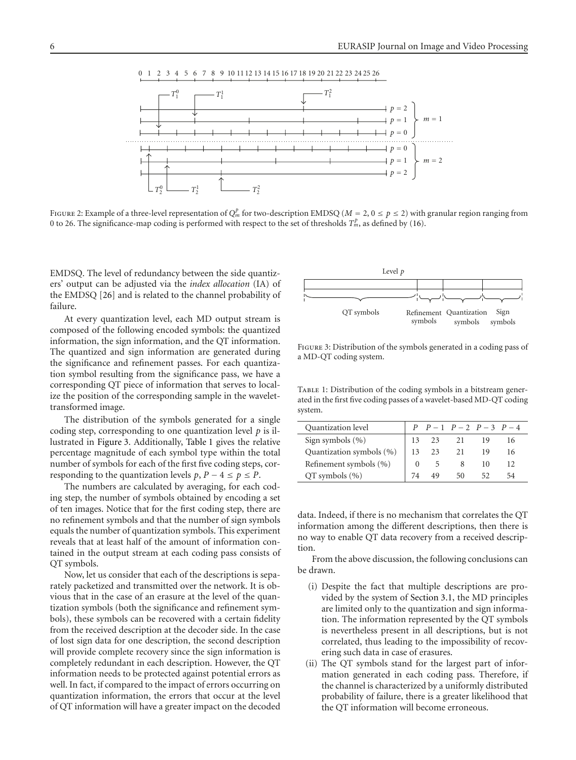

<span id="page-5-0"></span>FIGURE 2: Example of a three-level representation of  $Q_m^p$  for two-description EMDSQ ( $M = 2, 0 \le p \le 2$ ) with granular region ranging from 0 to 26. The significance-map coding is performed with respect to the set of thresholds  $T_n^p$ , as defined by [\(16\)](#page-4-1).

EMDSQ. The level of redundancy between the side quantizers' output can be adjusted via the *index allocation* (IA) of the EMDSQ [\[26\]](#page-10-4) and is related to the channel probability of failure.

At every quantization level, each MD output stream is composed of the following encoded symbols: the quantized information, the sign information, and the QT information. The quantized and sign information are generated during the significance and refinement passes. For each quantization symbol resulting from the significance pass, we have a corresponding QT piece of information that serves to localize the position of the corresponding sample in the wavelettransformed image.

The distribution of the symbols generated for a single coding step, corresponding to one quantization level *p* is illustrated in [Figure 3.](#page-5-1) Additionally, [Table 1](#page-5-2) gives the relative percentage magnitude of each symbol type within the total number of symbols for each of the first five coding steps, corresponding to the quantization levels  $p, P - 4 \leq p \leq P$ .

The numbers are calculated by averaging, for each coding step, the number of symbols obtained by encoding a set of ten images. Notice that for the first coding step, there are no refinement symbols and that the number of sign symbols equals the number of quantization symbols. This experiment reveals that at least half of the amount of information contained in the output stream at each coding pass consists of QT symbols.

Now, let us consider that each of the descriptions is separately packetized and transmitted over the network. It is obvious that in the case of an erasure at the level of the quantization symbols (both the significance and refinement symbols), these symbols can be recovered with a certain fidelity from the received description at the decoder side. In the case of lost sign data for one description, the second description will provide complete recovery since the sign information is completely redundant in each description. However, the QT information needs to be protected against potential errors as well. In fact, if compared to the impact of errors occurring on quantization information, the errors that occur at the level of QT information will have a greater impact on the decoded



<span id="page-5-1"></span>Figure 3: Distribution of the symbols generated in a coding pass of a MD-QT coding system.

<span id="page-5-2"></span>TABLE 1: Distribution of the coding symbols in a bitstream generated in the first five coding passes of a wavelet-based MD-QT coding system.

| <b>Quantization</b> level |    | $P$ $P-1$ $P-2$ $P-3$ $P-4$ |  |
|---------------------------|----|-----------------------------|--|
| Sign symbols $(\% )$      |    |                             |  |
| Quantization symbols (%)  |    |                             |  |
| Refinement symbols (%)    |    |                             |  |
| $QT$ symbols $(\% )$      | 49 |                             |  |

data. Indeed, if there is no mechanism that correlates the QT information among the different descriptions, then there is no way to enable QT data recovery from a received description.

From the above discussion, the following conclusions can be drawn.

- (i) Despite the fact that multiple descriptions are provided by the system of [Section 3.1,](#page-3-0) the MD principles are limited only to the quantization and sign information. The information represented by the QT symbols is nevertheless present in all descriptions, but is not correlated, thus leading to the impossibility of recovering such data in case of erasures.
- (ii) The QT symbols stand for the largest part of information generated in each coding pass. Therefore, if the channel is characterized by a uniformly distributed probability of failure, there is a greater likelihood that the QT information will become erroneous.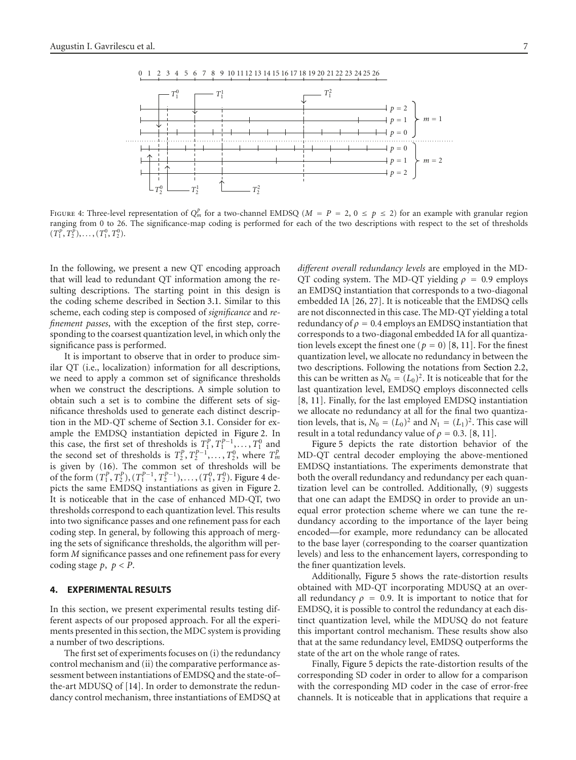

<span id="page-6-1"></span>FIGURE 4: Three-level representation of  $Q_m^p$  for a two-channel EMDSQ ( $M = P = 2$ ,  $0 \le p \le 2$ ) for an example with granular region ranging from 0 to 26. The significance-map coding is performed for each of the two descriptions with respect to the set of thresholds  $(T_1^p, T_2^p), \ldots, (T_1^0, T_2^0).$ 

In the following, we present a new QT encoding approach that will lead to redundant QT information among the resulting descriptions. The starting point in this design is the coding scheme described in [Section 3.1.](#page-3-0) Similar to this scheme, each coding step is composed of *significance* and *refinement passes*, with the exception of the first step, corresponding to the coarsest quantization level, in which only the significance pass is performed.

It is important to observe that in order to produce similar QT (i.e., localization) information for all descriptions, we need to apply a common set of significance thresholds when we construct the descriptions. A simple solution to obtain such a set is to combine the different sets of significance thresholds used to generate each distinct description in the MD-QT scheme of [Section 3.1.](#page-3-0) Consider for example the EMDSQ instantiation depicted in [Figure 2.](#page-5-0) In this case, the first set of thresholds is  $T_1^P, T_1^{P-1}, \ldots, T_1^0$  and the second set of thresholds is  $T_2^p, T_2^{p-1}, \ldots, T_2^0$ , where  $T_m^p$ is given by [\(16\)](#page-4-1). The common set of thresholds will be of the form  $(T_1^p, T_2^p), (T_1^{p-1}, T_2^{p-1}), \ldots, (T_1^0, T_2^0)$ . [Figure 4](#page-6-1) depicts the same EMDSQ instantiations as given in [Figure 2.](#page-5-0) It is noticeable that in the case of enhanced MD-QT, two thresholds correspond to each quantization level. This results into two significance passes and one refinement pass for each coding step. In general, by following this approach of merging the sets of significance thresholds, the algorithm will perform *M* significance passes and one refinement pass for every coding stage  $p, p < P$ .

#### <span id="page-6-0"></span>**4. EXPERIMENTAL RESULTS**

In this section, we present experimental results testing different aspects of our proposed approach. For all the experiments presented in this section, the MDC system is providing a number of two descriptions.

The first set of experiments focuses on (i) the redundancy control mechanism and (ii) the comparative performance assessment between instantiations of EMDSQ and the state-of– the-art MDUSQ of [\[14](#page-9-9)]. In order to demonstrate the redundancy control mechanism, three instantiations of EMDSQ at *different overall redundancy levels* are employed in the MD-QT coding system. The MD-QT yielding  $\rho = 0.9$  employs an EMDSQ instantiation that corresponds to a two-diagonal embedded IA [\[26,](#page-10-4) [27](#page-10-5)]. It is noticeable that the EMDSQ cells are not disconnected in this case. The MD-QT yielding a total redundancy of  $\rho = 0.4$  employs an EMDSQ instantiation that corresponds to a two-diagonal embedded IA for all quantization levels except the finest one ( $p = 0$ ) [\[8,](#page-9-15) [11\]](#page-9-5). For the finest quantization level, we allocate no redundancy in between the two descriptions. Following the notations from [Section 2.2,](#page-2-0) this can be written as  $N_0 = (L_0)^2$ . It is noticeable that for the last quantization level, EMDSQ employs disconnected cells [\[8,](#page-9-15) [11](#page-9-5)]. Finally, for the last employed EMDSQ instantiation we allocate no redundancy at all for the final two quantization levels, that is,  $N_0 = (L_0)^2$  and  $N_1 = (L_1)^2$ . This case will result in a total redundancy value of  $\rho = 0.3$ . [\[8](#page-9-15), [11\]](#page-9-5).

[Figure 5](#page-7-0) depicts the rate distortion behavior of the MD-QT central decoder employing the above-mentioned EMDSQ instantiations. The experiments demonstrate that both the overall redundancy and redundancy per each quantization level can be controlled. Additionally, [\(9\)](#page-3-3) suggests that one can adapt the EMDSQ in order to provide an unequal error protection scheme where we can tune the redundancy according to the importance of the layer being encoded—for example, more redundancy can be allocated to the base layer (corresponding to the coarser quantization levels) and less to the enhancement layers, corresponding to the finer quantization levels.

Additionally, [Figure 5](#page-7-0) shows the rate-distortion results obtained with MD-QT incorporating MDUSQ at an overall redundancy  $\rho = 0.9$ . It is important to notice that for EMDSQ, it is possible to control the redundancy at each distinct quantization level, while the MDUSQ do not feature this important control mechanism. These results show also that at the same redundancy level, EMDSQ outperforms the state of the art on the whole range of rates.

Finally, [Figure 5](#page-7-0) depicts the rate-distortion results of the corresponding SD coder in order to allow for a comparison with the corresponding MD coder in the case of error-free channels. It is noticeable that in applications that require a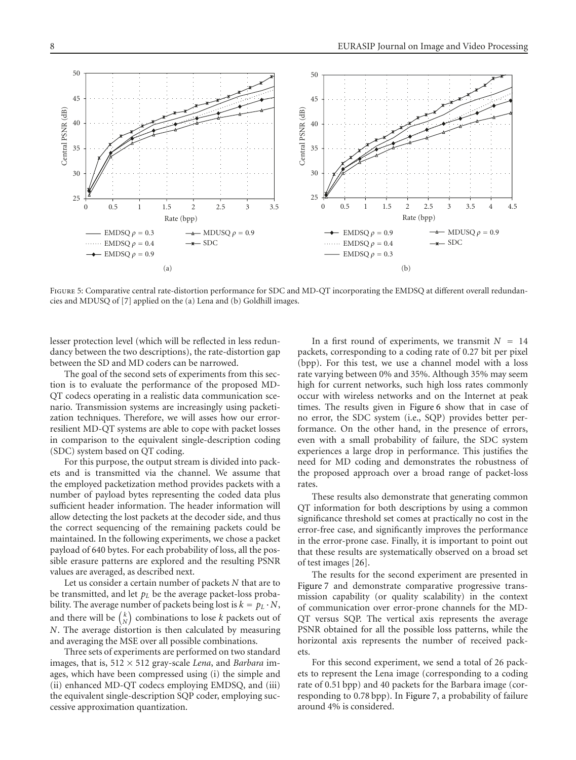

<span id="page-7-0"></span>FIGURE 5: Comparative central rate-distortion performance for SDC and MD-QT incorporating the EMDSQ at different overall redundancies and MDUSQ of [\[7\]](#page-9-4) applied on the (a) Lena and (b) Goldhill images.

lesser protection level (which will be reflected in less redundancy between the two descriptions), the rate-distortion gap between the SD and MD coders can be narrowed.

The goal of the second sets of experiments from this section is to evaluate the performance of the proposed MD-QT codecs operating in a realistic data communication scenario. Transmission systems are increasingly using packetization techniques. Therefore, we will asses how our errorresilient MD-QT systems are able to cope with packet losses in comparison to the equivalent single-description coding (SDC) system based on QT coding.

For this purpose, the output stream is divided into packets and is transmitted via the channel. We assume that the employed packetization method provides packets with a number of payload bytes representing the coded data plus sufficient header information. The header information will allow detecting the lost packets at the decoder side, and thus the correct sequencing of the remaining packets could be maintained. In the following experiments, we chose a packet payload of 640 bytes. For each probability of loss, all the possible erasure patterns are explored and the resulting PSNR values are averaged, as described next.

Let us consider a certain number of packets *N* that are to be transmitted, and let *pL* be the average packet-loss probability. The average number of packets being lost is  $k = p_L \cdot N$ , and there will be  $\binom{k}{N}$  combinations to lose *k* packets out of *N*. The average distortion is then calculated by measuring and averaging the MSE over all possible combinations.

Three sets of experiments are performed on two standard images, that is, 512 × 512 gray-scale *Lena*, and *Barbara* images, which have been compressed using (i) the simple and (ii) enhanced MD-QT codecs employing EMDSQ, and (iii) the equivalent single-description SQP coder, employing successive approximation quantization.

In a first round of experiments, we transmit  $N = 14$ packets, corresponding to a coding rate of 0.27 bit per pixel (bpp). For this test, we use a channel model with a loss rate varying between 0% and 35%. Although 35% may seem high for current networks, such high loss rates commonly occur with wireless networks and on the Internet at peak times. The results given in [Figure 6](#page-8-1) show that in case of no error, the SDC system (i.e., SQP) provides better performance. On the other hand, in the presence of errors, even with a small probability of failure, the SDC system experiences a large drop in performance. This justifies the need for MD coding and demonstrates the robustness of the proposed approach over a broad range of packet-loss rates.

These results also demonstrate that generating common QT information for both descriptions by using a common significance threshold set comes at practically no cost in the error-free case, and significantly improves the performance in the error-prone case. Finally, it is important to point out that these results are systematically observed on a broad set of test images [\[26\]](#page-10-4).

The results for the second experiment are presented in [Figure 7](#page-8-2) and demonstrate comparative progressive transmission capability (or quality scalability) in the context of communication over error-prone channels for the MD-QT versus SQP. The vertical axis represents the average PSNR obtained for all the possible loss patterns, while the horizontal axis represents the number of received packets.

For this second experiment, we send a total of 26 packets to represent the Lena image (corresponding to a coding rate of 0.51 bpp) and 40 packets for the Barbara image (corresponding to 0.78 bpp). In [Figure 7,](#page-8-2) a probability of failure around 4% is considered.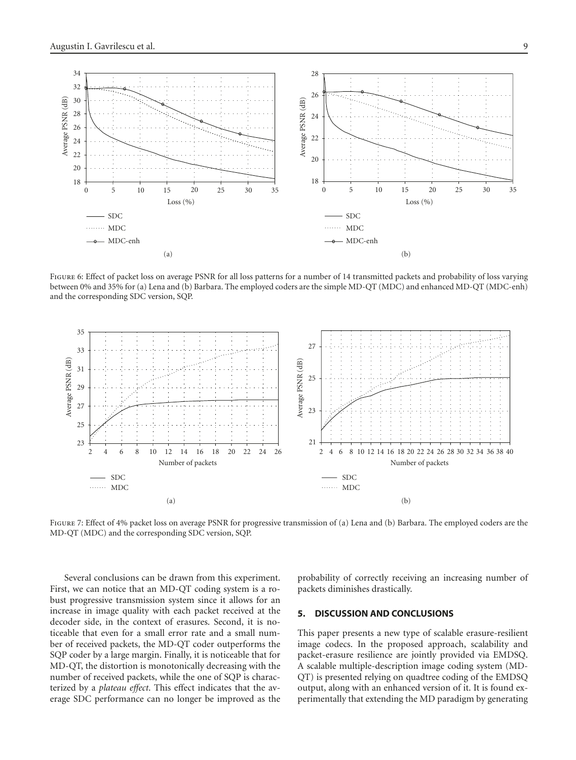

<span id="page-8-1"></span>FIGURE 6: Effect of packet loss on average PSNR for all loss patterns for a number of 14 transmitted packets and probability of loss varying between 0% and 35% for (a) Lena and (b) Barbara. The employed coders are the simple MD-QT (MDC) and enhanced MD-QT (MDC-enh) and the corresponding SDC version, SQP.



<span id="page-8-2"></span>FIGURE 7: Effect of 4% packet loss on average PSNR for progressive transmission of (a) Lena and (b) Barbara. The employed coders are the MD-QT (MDC) and the corresponding SDC version, SQP.

Several conclusions can be drawn from this experiment. First, we can notice that an MD-QT coding system is a robust progressive transmission system since it allows for an increase in image quality with each packet received at the decoder side, in the context of erasures. Second, it is noticeable that even for a small error rate and a small number of received packets, the MD-QT coder outperforms the SQP coder by a large margin. Finally, it is noticeable that for MD-QT, the distortion is monotonically decreasing with the number of received packets, while the one of SQP is characterized by a *plateau effect*. This effect indicates that the average SDC performance can no longer be improved as the probability of correctly receiving an increasing number of packets diminishes drastically.

# <span id="page-8-0"></span>**5. DISCUSSION AND CONCLUSIONS**

This paper presents a new type of scalable erasure-resilient image codecs. In the proposed approach, scalability and packet-erasure resilience are jointly provided via EMDSQ. A scalable multiple-description image coding system (MD-QT) is presented relying on quadtree coding of the EMDSQ output, along with an enhanced version of it. It is found experimentally that extending the MD paradigm by generating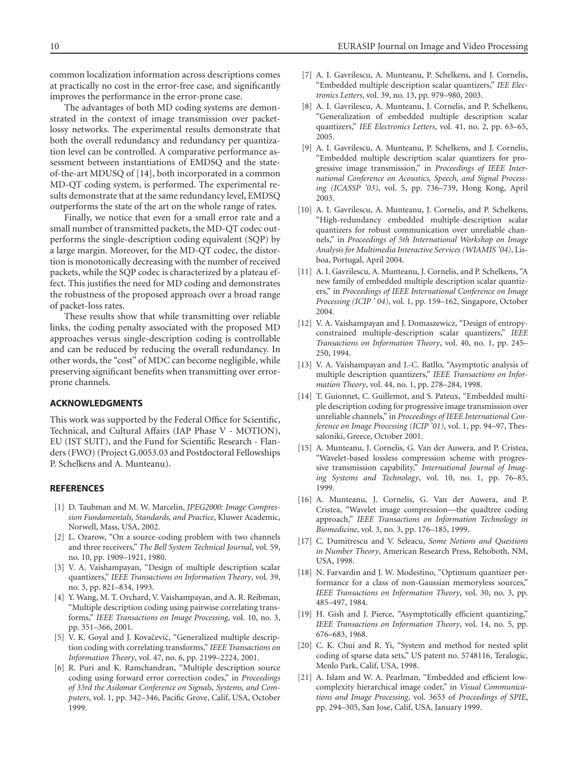common localization information across descriptions comes at practically no cost in the error-free case, and significantly improves the performance in the error-prone case.

The advantages of both MD coding systems are demonstrated in the context of image transmission over packetlossy networks. The experimental results demonstrate that both the overall redundancy and redundancy per quantization level can be controlled. A comparative performance assessment between instantiations of EMDSQ and the stateof-the-art MDUSQ of [\[14](#page-9-9)], both incorporated in a common MD-QT coding system, is performed. The experimental results demonstrate that at the same redundancy level, EMDSQ outperforms the state of the art on the whole range of rates.

Finally, we notice that even for a small error rate and a small number of transmitted packets, the MD-QT codec outperforms the single-description coding equivalent (SQP) by a large margin. Moreover, for the MD-QT codec, the distortion is monotonically decreasing with the number of received packets, while the SQP codec is characterized by a plateau effect. This justifies the need for MD coding and demonstrates the robustness of the proposed approach over a broad range of packet-loss rates.

These results show that while transmitting over reliable links, the coding penalty associated with the proposed MD approaches versus single-description coding is controllable and can be reduced by reducing the overall redundancy. In other words, the "cost" of MDC can become negligible, while preserving significant benefits when transmitting over errorprone channels.

#### **ACKNOWLEDGMENTS**

This work was supported by the Federal Office for Scientific, Technical, and Cultural Affairs (IAP Phase V - MOTION), EU (IST SUIT), and the Fund for Scientific Research - Flanders (FWO) (Project G.0053.03 and Postdoctoral Fellowships P. Schelkens and A. Munteanu).

#### <span id="page-9-1"></span><span id="page-9-0"></span>**REFERENCES**

- [1] D. Taubman and M. W. Marcelin, *JPEG2000: Image Compression Fundamentals, Standards, and Practice*, Kluwer Academic, Norwell, Mass, USA, 2002.
- <span id="page-9-2"></span>[2] L. Ozarow, "On a source-coding problem with two channels and three receivers," *The Bell System Technical Journal*, vol. 59, no. 10, pp. 1909–1921, 1980.
- <span id="page-9-6"></span>[3] V. A. Vaishampayan, "Design of multiple description scalar quantizers," *IEEE Transactions on Information Theory*, vol. 39, no. 3, pp. 821–834, 1993.
- [4] Y. Wang, M. T. Orchard, V. Vaishampayan, and A. R. Reibman, "Multiple description coding using pairwise correlating transforms," *IEEE Transactions on Image Processing*, vol. 10, no. 3, pp. 351–366, 2001.
- [5] V. K. Goyal and J. Kovačević, "Generalized multiple description coding with correlating transforms," *IEEE Transactions on Information Theory*, vol. 47, no. 6, pp. 2199–2224, 2001.
- <span id="page-9-3"></span>[6] R. Puri and K. Ramchandran, "Multiple description source coding using forward error correction codes," in *Proceedings of 33rd the Asilomar Conference on Signals, Systems, and Computers*, vol. 1, pp. 342–346, Pacific Grove, Calif, USA, October 1999.
- <span id="page-9-4"></span>[7] A. I. Gavrilescu, A. Munteanu, P. Schelkens, and J. Cornelis, "Embedded multiple description scalar quantizers," *IEE Electronics Letters*, vol. 39, no. 13, pp. 979–980, 2003.
- <span id="page-9-15"></span>[8] A. I. Gavrilescu, A. Munteanu, J. Cornelis, and P. Schelkens, "Generalization of embedded multiple description scalar quantizers," *IEE Electronics Letters*, vol. 41, no. 2, pp. 63–65, 2005.
- [9] A. I. Gavrilescu, A. Munteanu, P. Schelkens, and J. Cornelis, "Embedded multiple description scalar quantizers for progressive image transmission," in *Proceedings of IEEE International Conference on Acoustics, Speech, and Signal Processing (ICASSP '03)*, vol. 5, pp. 736–739, Hong Kong, April 2003.
- <span id="page-9-18"></span>[10] A. I. Gavrilescu, A. Munteanu, J. Cornelis, and P. Schelkens, "High-redundancy embedded multiple-description scalar quantizers for robust communication over unreliable channels," in *Proceedings of 5th International Workshop on Image Analysis for Multimedia Interactive Services (WIAMIS '04)*, Lisboa, Portugal, April 2004.
- <span id="page-9-5"></span>[11] A. I. Gavrilescu, A. Munteanu, J. Cornelis, and P. Schelkens, "A new family of embedded multiple description scalar quantizers," in *Proceedings of IEEE International Conference on Image Processing (ICIP ' 04)*, vol. 1, pp. 159–162, Singapore, October 2004.
- <span id="page-9-7"></span>[12] V. A. Vaishampayan and J. Domaszewicz, "Design of entropyconstrained multiple-description scalar quantizers," *IEEE Transactions on Information Theory*, vol. 40, no. 1, pp. 245– 250, 1994.
- <span id="page-9-8"></span>[13] V. A. Vaishampayan and J.-C. Batllo, "Asymptotic analysis of multiple description quantizers," *IEEE Transactions on Information Theory*, vol. 44, no. 1, pp. 278–284, 1998.
- <span id="page-9-9"></span>[14] T. Guionnet, C. Guillemot, and S. Pateux, "Embedded multiple description coding for progressive image transmission over unreliable channels," in *Proceedings of IEEE International Conference on Image Processing (ICIP '01)*, vol. 1, pp. 94–97, Thessaloniki, Greece, October 2001.
- <span id="page-9-10"></span>[15] A. Munteanu, J. Cornelis, G. Van der Auwera, and P. Cristea, "Wavelet-based lossless compression scheme with progressive transmission capability," *International Journal of Imaging Systems and Technology*, vol. 10, no. 1, pp. 76–85, 1999.
- <span id="page-9-11"></span>[16] A. Munteanu, J. Cornelis, G. Van der Auwera, and P. Cristea, "Wavelet image compression—the quadtree coding approach," *IEEE Transactions on Information Technology in Biomedicine*, vol. 3, no. 3, pp. 176–185, 1999.
- <span id="page-9-12"></span>[17] C. Dumitrescu and V. Seleacu, *Some Notions and Questions in Number Theory*, American Research Press, Rehoboth, NM, USA, 1998.
- <span id="page-9-13"></span>[18] N. Farvardin and J. W. Modestino, "Optimum quantizer performance for a class of non-Gaussian memoryless sources," *IEEE Transactions on Information Theory*, vol. 30, no. 3, pp. 485–497, 1984.
- <span id="page-9-14"></span>[19] H. Gish and J. Pierce, "Asymptotically efficient quantizing," *IEEE Transactions on Information Theory*, vol. 14, no. 5, pp. 676–683, 1968.
- <span id="page-9-16"></span>[20] C. K. Chui and R. Yi, "System and method for nested split coding of sparse data sets," US patent no. 5748116, Teralogic, Menlo Park, Calif, USA, 1998.
- <span id="page-9-17"></span>[21] A. Islam and W. A. Pearlman, "Embedded and efficient lowcomplexity hierarchical image coder," in *Visual Communications and Image Processing*, vol. 3653 of *Proceedings of SPIE*, pp. 294–305, San Jose, Calif, USA, January 1999.